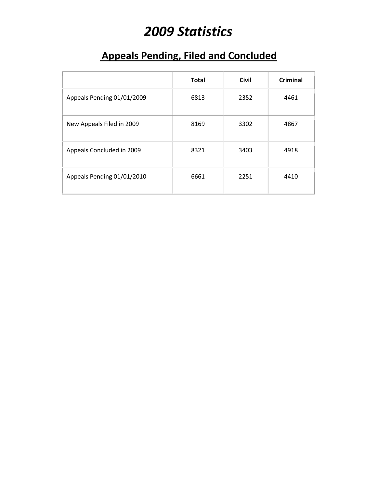# *2009 Statistics*

# **Appeals Pending, Filed and Concluded**

|                            | <b>Total</b> | <b>Civil</b> | Criminal |
|----------------------------|--------------|--------------|----------|
| Appeals Pending 01/01/2009 | 6813         | 2352         | 4461     |
| New Appeals Filed in 2009  | 8169         | 3302         | 4867     |
| Appeals Concluded in 2009  | 8321         | 3403         | 4918     |
| Appeals Pending 01/01/2010 | 6661         | 2251         | 4410     |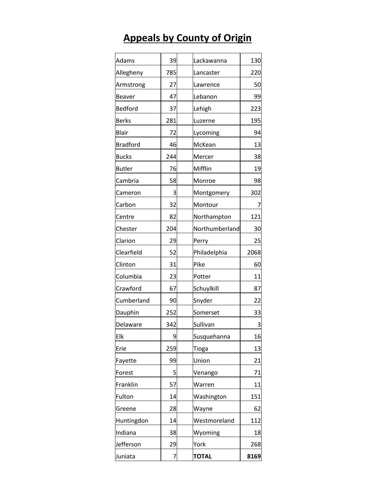# **Appeals by County of Origin**

| Adams           | 39  | Lackawanna     | 130      |
|-----------------|-----|----------------|----------|
| Allegheny       | 785 | Lancaster      | 220      |
| Armstrong       | 27  | Lawrence       | 50       |
| Beaver          | 47  | Lebanon        | 99       |
| Bedford         | 37  | Lehigh         | 223      |
| <b>Berks</b>    | 281 | Luzerne        | 195      |
| Blair           | 72  | Lycoming       | 94       |
| <b>Bradford</b> | 46  | McKean         | 13       |
| <b>Bucks</b>    | 244 | Mercer         | 38       |
| <b>Butler</b>   | 76  | Mifflin        | 19       |
| Cambria         | 58  | Monroe         | 98       |
| Cameron         | 3   | Montgomery     | 302      |
| Carbon          | 32  | Montour        | $\prime$ |
| Centre          | 82  | Northampton    | 121      |
| Chester         | 204 | Northumberland | 30       |
| Clarion         | 29  | Perry          | 25       |
| Clearfield      | 52  | Philadelphia   | 2068     |
| Clinton         | 31  | Pike           | 60       |
| Columbia        | 23  | Potter         | 11       |
| Crawford        | 67  | Schuylkill     | 87       |
| Cumberland      | 90  | Snyder         | 22       |
| Dauphin         | 252 | Somerset       | 33       |
| Delaware        | 342 | Sullivan       | 3        |
| Elk             | 9   | Susquehanna    | 16       |
| Erie            | 259 | Tioga          | 13       |
| Fayette         | 99  | Union          | 21       |
| Forest          | 5   | Venango        | 71       |
| Franklin        | 57  | Warren         | 11       |
| Fulton          | 14  | Washington     | 151      |
| Greene          | 28  | Wayne          | 62       |
| Huntingdon      | 14  | Westmoreland   | 112      |
| Indiana         | 38  | Wyoming        | 18       |
| Jefferson       | 29  | York           | 268      |
| Juniata         | 7   | <b>TOTAL</b>   | 8169     |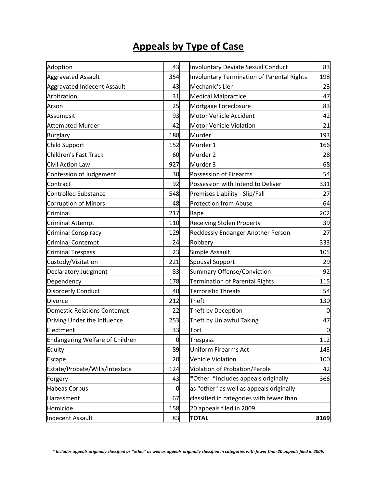### **Appeals by Type of Case**

| Adoption                               | 43             | <b>Involuntary Deviate Sexual Conduct</b>         | 83          |
|----------------------------------------|----------------|---------------------------------------------------|-------------|
| <b>Aggravated Assault</b>              | 354            | <b>Involuntary Termination of Parental Rights</b> | 198         |
| <b>Aggravated Indecent Assault</b>     | 43             | Mechanic's Lien                                   | 23          |
| Arbitration                            | 31             | <b>Medical Malpractice</b>                        | 47          |
| Arson                                  | 25             | Mortgage Foreclosure                              | 83          |
| Assumpsit                              | 93             | Motor Vehicle Accident                            | 42          |
| <b>Attempted Murder</b>                | 42             | <b>Motor Vehicle Violation</b>                    | 21          |
| <b>Burglary</b>                        | 188            | Murder                                            | 193         |
| <b>Child Support</b>                   | 152            | Murder 1                                          | 166         |
| <b>Children's Fast Track</b>           | 60             | Murder <sub>2</sub>                               | 28          |
| Civil Action Law                       | 927            | Murder 3                                          | 68          |
| Confession of Judgement                | 30             | <b>Possession of Firearms</b>                     | 54          |
| Contract                               | 92             | Possession with Intend to Deliver                 | 331         |
| <b>Controlled Substance</b>            | 548            | Premises Liability - Slip/Fall                    | 27          |
| <b>Corruption of Minors</b>            | 48             | <b>Protection from Abuse</b>                      | 64          |
| Criminal                               | 217            | Rape                                              | 202         |
| <b>Criminal Attempt</b>                | 110            | <b>Receiving Stolen Property</b>                  | 39          |
| <b>Criminal Conspiracy</b>             | 129            | Recklessly Endanger Another Person                | 27          |
| <b>Criminal Contempt</b>               | 24             | Robbery                                           | 333         |
| <b>Criminal Trespass</b>               | 23             | Simple Assault                                    | 105         |
| Custody/Visitation                     | 221            | <b>Spousal Support</b>                            | 29          |
| Declaratory Judgment                   | 83             | <b>Summary Offense/Conviction</b>                 |             |
| Dependency                             | 178            | <b>Termination of Parental Rights</b>             | 115         |
| <b>Disorderly Conduct</b>              | 40             | <b>Terroristic Threats</b>                        | 54          |
| Divorce                                | 212            | Theft                                             | 130         |
| <b>Domestic Relations Contempt</b>     | 22             | Theft by Deception                                | 0           |
| Driving Under the Influence            | 253            | Theft by Unlawful Taking                          | 47          |
| Ejectment                              | 33             | Tort                                              | $\mathbf 0$ |
| <b>Endangering Welfare of Children</b> | $\overline{0}$ | <b>Trespass</b>                                   | 112         |
| Equity                                 | 89             | <b>Uniform Firearms Act</b>                       | 143         |
| Escape                                 | 20             | <b>Vehicle Violation</b>                          |             |
| Estate/Probate/Wills/Intestate         | 124            | Violation of Probation/Parole                     | 42          |
| Forgery                                | 43             | *Other *Includes appeals originally               | 366         |
| <b>Habeas Corpus</b>                   | $\mathbf 0$    | as "other" as well as appeals originally          |             |
| Harassment                             | 67             | classified in categories with fewer than          |             |
| Homicide                               | 158            | 20 appeals filed in 2009.                         |             |
| <b>Indecent Assault</b>                | 83             | <b>TOTAL</b>                                      | 8169        |

*\* Includes appeals originally classified as "other" as well as appeals originally classified in categories with fewer than 20 appeals filed in 2006.*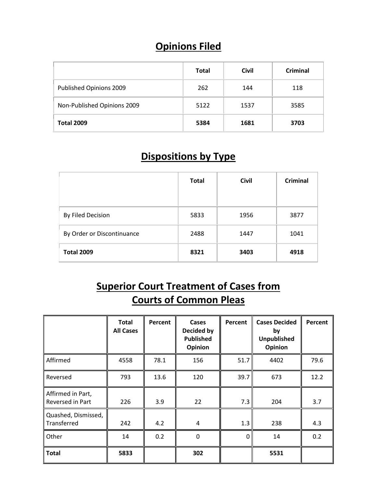# **Opinions Filed**

|                             | <b>Total</b> | <b>Civil</b> | <b>Criminal</b> |
|-----------------------------|--------------|--------------|-----------------|
| Published Opinions 2009     | 262          | 144          | 118             |
| Non-Published Opinions 2009 | 5122         | 1537         | 3585            |
| <b>Total 2009</b>           | 5384         | 1681         | 3703            |

#### **Dispositions by Type**

|                            | <b>Total</b> | <b>Civil</b> | <b>Criminal</b> |
|----------------------------|--------------|--------------|-----------------|
| By Filed Decision          | 5833         | 1956         | 3877            |
| By Order or Discontinuance | 2488         | 1447         | 1041            |
| <b>Total 2009</b>          | 8321         | 3403         | 4918            |

## **Superior Court Treatment of Cases from Courts of Common Pleas**

|                                       | <b>Total</b><br><b>All Cases</b> | Percent | Cases<br>Decided by<br><b>Published</b><br><b>Opinion</b> | Percent      | <b>Cases Decided</b><br>by<br><b>Unpublished</b><br>Opinion | Percent |
|---------------------------------------|----------------------------------|---------|-----------------------------------------------------------|--------------|-------------------------------------------------------------|---------|
| Affirmed                              | 4558                             | 78.1    | 156                                                       | 51.7         | 4402                                                        | 79.6    |
| Reversed                              | 793                              | 13.6    | 120                                                       | 39.7         | 673                                                         | 12.2    |
| Affirmed in Part,<br>Reversed in Part | 226                              | 3.9     | 22                                                        | 7.3          | 204                                                         | 3.7     |
| Quashed, Dismissed,<br>Transferred    | 242                              | 4.2     | 4                                                         | 1.3          | 238                                                         | 4.3     |
| Other                                 | 14                               | 0.2     | $\mathbf 0$                                               | $\mathbf{0}$ | 14                                                          | 0.2     |
| <b>Total</b>                          | 5833                             |         | 302                                                       |              | 5531                                                        |         |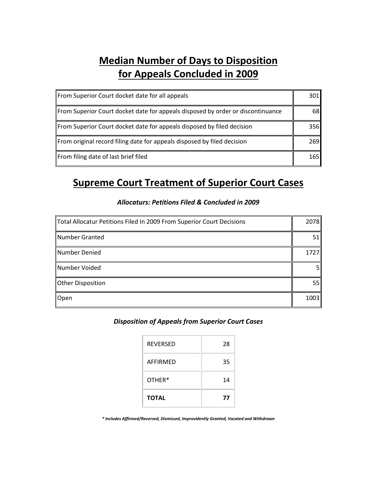## **Median Number of Days to Disposition for Appeals Concluded in 2009**

| From Superior Court docket date for all appeals                                 | 301  |
|---------------------------------------------------------------------------------|------|
| From Superior Court docket date for appeals disposed by order or discontinuance | 68 I |
| From Superior Court docket date for appeals disposed by filed decision          | 356  |
| From original record filing date for appeals disposed by filed decision         | 269  |
| From filing date of last brief filed                                            | 165  |

#### **Supreme Court Treatment of Superior Court Cases**

| Total Allocatur Petitions Filed In 2009 From Superior Court Decisions | 2078 |
|-----------------------------------------------------------------------|------|
| Number Granted                                                        | 51   |
| Number Denied                                                         | 1727 |
| Number Voided                                                         | 51   |
| Other Disposition                                                     | 55   |
| Open                                                                  | 1003 |

#### *Allocaturs: Petitions Filed & Concluded in 2009*

#### *Disposition of Appeals from Superior Court Cases*

| <b>REVERSED</b> | 28 |
|-----------------|----|
| AFFIRMFD        | 35 |
| OTHER*          | 14 |
| <b>TOTAL</b>    | 77 |

*\* Includes Affirmed/Reversed, Dismissed, Improvidently Granted, Vacated and Withdrawn*